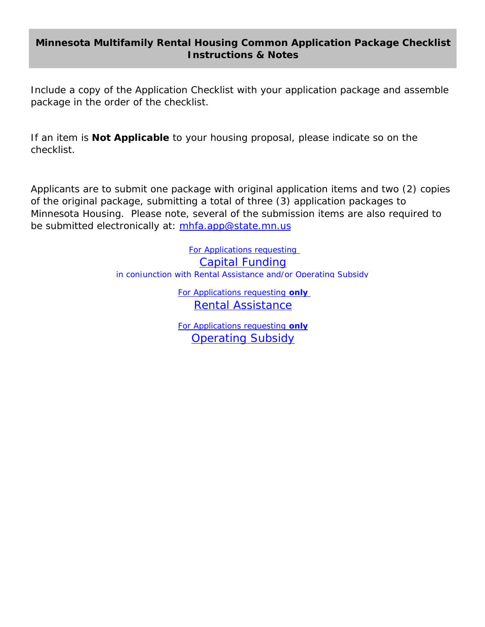## **Minnesota Multifamily Rental Housing Common Application Package Checklist Instructions & Notes**

Include a copy of the Application Checklist with your application package and assemble package in the order of the checklist.

If an item is **Not Applicable** to your housing proposal, please indicate so on the checklist.

Applicants are to submit one package with original application items and two (2) copies of the original package, submitting a total of three (3) application packages to Minnesota Housing. Please note, several of the submission items are also required to be submitted electronically at: mhfa.app@state.mn.us

> For Applications requesting Capital Funding in con[junction with Rental Assistance and/or Operating Subsidy](#page-1-0)

> > For Applications requesting **only**  Re[ntal Assistance](#page-4-0)

For Applications requesting **only** Op[erating Subsidy](#page-5-0)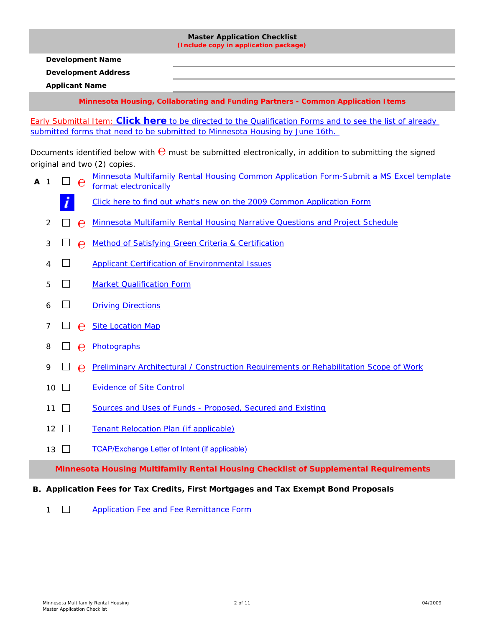<span id="page-1-0"></span>**Master Application Checklist (Include copy in application package) Development Name Development Address Applicant Name Minnesota Housing, Collaborating and Funding Partners - Common Application Items** Early Submittal Item: **Click here** to be directed to the Qualification Forms and to see the list of already submitted forms that need to be submitted to Minnesota Housing by June 16th. Documents identified below with  $\Theta$  must be submitted electronically, in addition to submitting the signed original and two (2) copies. [Minnesota Multifamily Rental Housing Common Application Form-Submit a MS Excel template](http://mnhousing.gov/idc/groups/public/documents/webcontent/mhfa_001970.xlt) **<sup>A</sup>** <sup>1</sup> **℮** format electronically [Click here to find out what's new on the 2009 Common Application Form](http://mnhousing.gov/idc/groups/multifamily/documents/webcontent/mhfa_007943.pdf) 2 **□ ℮** [Minnesota Multifamily Rental Housing Narrative Questions and Project Schedule](http://www.mnhousing.gov/idc/groups/public/documents/document/mhfa_006879.rtf) 3 **b e** [Method of Satisfying Green Criteria & Certification](http://mnhousing.gov/idc/groups/multifamily/documents/webasset/mhfa_007962.rtf)  $\Box$ 4 [Applicant Certification of Environmental Issues](http://www.mnhousing.gov/idc/groups/public/documents/document/mhfa_006922.rtf)  $\Box$ 5 **[Market Qualification Form](http://www.mnhousing.gov/idc/groups/public/documents/document/mhfa_002410.rtf)** 6 [Driving Directions](#page-6-3) 7 **□ ⊖** [Site Location Map](#page-6-0) <sup>8</sup> **℮** [Photographs](#page-6-1) 9 **□ ℮** [Preliminary Architectural / Construction Requirements or Rehabilitation Scope of Work](http://www.mnhousing.gov/housing/architects/multifamily/MHFA_000442.aspx)  $\Box$ 10 [Evidence of Site Control](#page-6-2)

- 11  $\Box$ [Sources and Uses of Funds - Proposed, Secured and Existing](#page-7-0)
- $12$   $\Box$ [Tenant Relocation Plan \(if applicable\)](#page-7-1)
- 13  $\Box$ [TCAP/Exchange Letter of Intent \(if applicable\)](http://mnhousing.gov/idc/groups/multifamily/documents/webasset/mhfa_008103.rtf)

**Minnesota Housing Multifamily Rental Housing Checklist of Supplemental Requirements**

#### **B. Application Fees for Tax Credits, First Mortgages and Tax Exempt Bond Proposals**

 $\Box$ [Application Fee and Fee Remittance Form](http://mnhousing.gov/idc/groups/public/documents/document/mhfa_002349.rtf)

1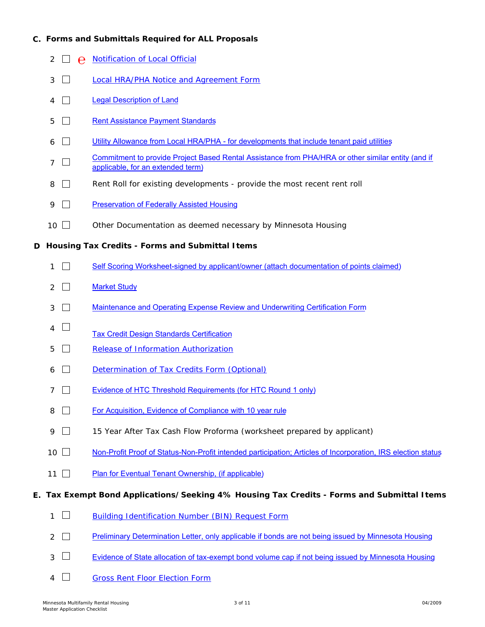## **C. Forms and Submittals Required for ALL Proposals**

- 2 □ **e** [Notification of Local Official](http://mnhousing.gov/idc/groups/public/documents/document/mhfa_002228.rtf)
- $\Box$ [Local HRA/PHA Notice and Agreement Form](http://mnhousing.gov/idc/groups/public/documents/document/mhfa_002401.rtf) 3
- 4  $\Box$ [Legal Description of Land](#page-7-5)
- 5  $\Box$ [Rent Assistance Payment Standards](#page-7-4)
- $6 \square$ [Utility Allowance from Local HRA/PHA - for developments that include tenant paid utilities](#page-7-3)
- $7\Box$ [Commitment to provide Project Based Rental Assistance from PHA/HRA or other similar entity \(and if](#page-7-2)  applicable, for an extended term)
- 8  $\Box$ Rent Roll for existing developments - provide the most recent rent roll
- 9  $\Box$ [Preservation of Federally Assisted Housing](#page-8-2)
- $10\Box$ Other Documentation as deemed necessary by Minnesota Housing

## **D Housing Tax Credits - Forms and Submittal Items**

- $1$   $\Box$ [Self Scoring Worksheet-signed by applicant/owner \(attach documentation of points claimed\)](http://www.mnhousing.gov/idc/groups/multifamily/documents/webasset/mhfa_007954.rtf)
- 2  $\Box$ **[Market Study](#page-8-1)**
- $3 \square$ [Maintenance and Operating Expense Review and Underwriting Certification Form](http://mnhousing.gov/idc/groups/multifamily/documents/webasset/mhfa_006957.rtf)
- $\mathcal{L}_{\mathcal{A}}$ 4 [Tax Credit Design Standards Certification](http://www.mnhousing.gov/idc/groups/multifamily/documents/webasset/mhfa_007958.rtf)
- 5  $\Box$ [Release of Information Authorization](http://mnhousing.gov/idc/groups/public/documents/document/mhfa_002239.rtf)
- 6  $\Box$ [Determination of Tax Credits Form \(Optional\)](http://mnhousing.gov/idc/groups/public/documents/document/mhfa_002339.rtf)
- $7<sub>7</sub>$ [Evidence of HTC Threshold Requirements \(for HTC Round 1 only\)](#page-8-0)
- $\Box$ [For Acquisition, Evidence of Compliance with 10 year rule](http://www.mnhousing.gov/idc/groups/multifamily/documents/webcontent/mhfa_007782.pdf) 8
- 9  $\Box$ 15 Year After Tax Cash Flow Proforma (worksheet prepared by applicant)
- $10 \square$ [Non-Profit Proof of Status-Non-Profit intended participation; Articles of Incorporation, IRS election status](#page-9-2)
- 11  $\Box$ [Plan for Eventual Tenant Ownership, \(if applicable\)](#page-9-1)

#### **E. Tax Exempt Bond Applications/Seeking 4% Housing Tax Credits - Forms and Submittal Items**

- $1$   $\Box$ [Building Identification Number \(BIN\) Request Form](http://mnhousing.gov/idc/groups/public/documents/document/mhfa_002361.rtf)
- 2  $\Box$ [Preliminary Determination Letter, only applicable if bonds are not being issued by Minnesota Housing](#page-10-0)
- [Evidence of State allocation of tax-exempt bond volume cap if not being issued by Minnesota Housing](#page-9-0)  $\Box$ 3
- $\Box$ 4 [Gross Rent Floor Election Form](http://mnhousing.gov/idc/groups/public/documents/document/mhfa_002373.rtf)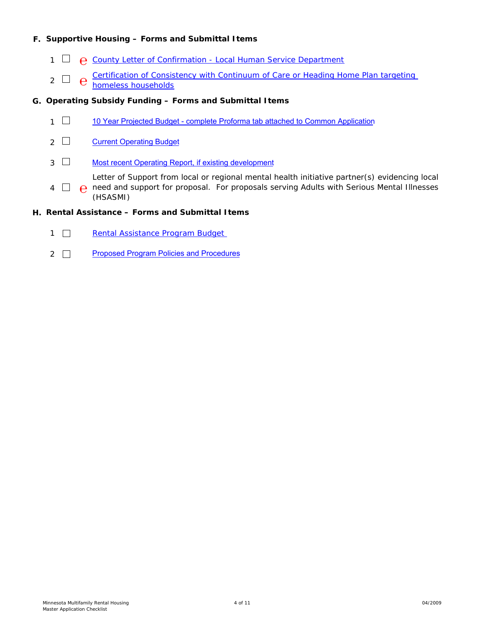## **F. Supportive Housing – Forms and Submittal Items**

- 1 **□ @** [County Letter of Confirmation Local Human Service Department](http://mnhousing.gov/idc/groups/public/documents/document/mhfa_006445.rtf)
- $2 \Box$   $\theta$ [Certification of Consistency with Continuum of Care or Heading Home Plan targeting](http://mnhousing.gov/idc/groups/public/documents/document/mhfa_002331.rtf)  homeless households

#### **G. Operating Subsidy Funding – Forms and Submittal Items**

- 1  $\Box$ [10 Year Projected Budget - complete Proforma tab attached to Common Application](#page-10-3)
- 2  $\Box$ [Current Operating Budget](#page-9-3)
- $3\Box$ [Most recent Operating Report, if existing development](#page-10-2)

Letter of Support from local or regional mental health initiative partner(s) evidencing local

4 **□ @** need and support for proposal. For proposals serving Adults with Serious Mental Illnesses (HSASMI)

#### **H. Rental Assistance – Forms and Submittal Items**

- $1$   $\Box$ [Rental Assistance Program Budget](http://mnhousing.gov/idc/groups/public/documents/document/mhfa_002221.rtf)
- 2  $\Box$ [Proposed Program Policies and Procedures](#page-10-1)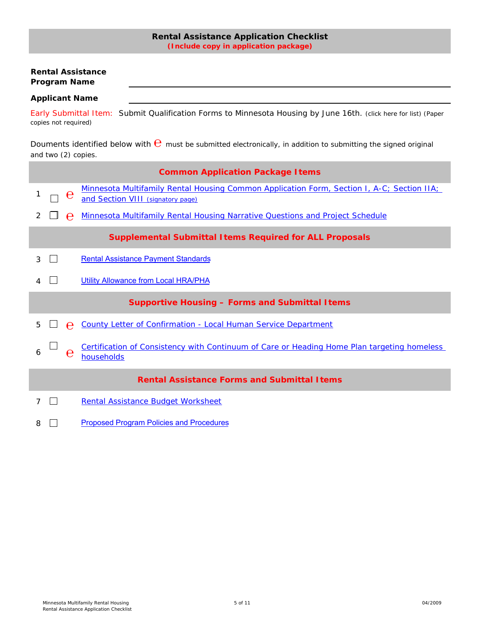## **Rental Assistance Application Checklist (Include copy in application package)**

## <span id="page-4-0"></span>**Rental Assistance Program Name**

#### **Applicant Name**

Early Submittal Item: Submit Qualification Forms to Minnesota Housing by June 16th. (click here for list) (Paper copies not required)

Douments identified below with  $\Theta$  must be submitted electronically, in addition to submitting the signed original and two (2) copies.

|   |   | <b>Common Application Package I tems</b>                                                                                        |
|---|---|---------------------------------------------------------------------------------------------------------------------------------|
|   | е | Minnesota Multifamily Rental Housing Common Application Form, Section I, A-C; Section IIA;<br>and Section VIII (signatory page) |
|   | e | <b>Minnesota Multifamily Rental Housing Narrative Questions and Project Schedule</b>                                            |
|   |   | <b>Supplemental Submittal Items Required for ALL Proposals</b>                                                                  |
| 3 |   | <b>Rental Assistance Payment Standards</b>                                                                                      |
|   |   | <b>Utility Allowance from Local HRA/PHA</b>                                                                                     |
|   |   |                                                                                                                                 |
|   |   | <b>Supportive Housing - Forms and Submittal Items</b>                                                                           |
| 5 |   | <b>County Letter of Confirmation - Local Human Service Department</b>                                                           |
| 6 | e | Certification of Consistency with Continuum of Care or Heading Home Plan targeting homeless<br>households                       |
|   |   | <b>Rental Assistance Forms and Submittal I tems</b>                                                                             |
| 7 |   | Rental Assistance Budget Worksheet                                                                                              |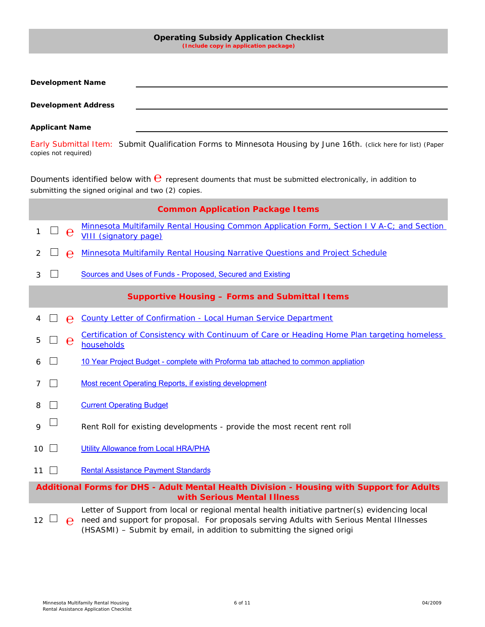<span id="page-5-0"></span>

|                            | <b>Operating Subsidy Application Checklist</b><br>(Include copy in application package)                                                                                |
|----------------------------|------------------------------------------------------------------------------------------------------------------------------------------------------------------------|
| <b>Development Name</b>    |                                                                                                                                                                        |
| <b>Development Address</b> |                                                                                                                                                                        |
| <b>Applicant Name</b>      |                                                                                                                                                                        |
| copies not required)       | Early Submittal Item: Submit Qualification Forms to Minnesota Housing by June 16th. (click here for list) (Paper                                                       |
|                            | Douments identified below with $\Theta$ represent douments that must be submitted electronically, in addition to<br>submitting the signed original and two (2) copies. |
|                            | <b>Common Application Package I tems</b>                                                                                                                               |
| 1<br>e                     | Minnesota Multifamily Rental Housing Common Application Form, Section I V A-C; and Section<br><b>VIII (signatory page)</b>                                             |
| 2<br>e                     | <b>Minnesota Multifamily Rental Housing Narrative Questions and Project Schedule</b>                                                                                   |
| 3                          | Sources and Uses of Funds - Proposed, Secured and Existing                                                                                                             |
|                            | <b>Supportive Housing - Forms and Submittal Items</b>                                                                                                                  |
| e                          | County Letter of Confirmation - Local Human Service Department                                                                                                         |
| 5                          |                                                                                                                                                                        |
| $\mathbf e$                | Certification of Consistency with Continuum of Care or Heading Home Plan targeting homeless<br>households                                                              |
|                            | 10 Year Project Budget - complete with Proforma tab attached to common appliation                                                                                      |
| 7                          | <b>Most recent Operating Reports, if existing development</b>                                                                                                          |
| 8                          | <b>Current Operating Budget</b>                                                                                                                                        |
| 9                          | Rent Roll for existing developments - provide the most recent rent roll                                                                                                |
| 10                         | <b>Utility Allowance from Local HRA/PHA</b>                                                                                                                            |
| 11                         | <b>Rental Assistance Payment Standards</b>                                                                                                                             |
|                            | Additional Forms for DHS - Adult Mental Health Division - Housing with Support for Adults<br>with Serious Mental Illness                                               |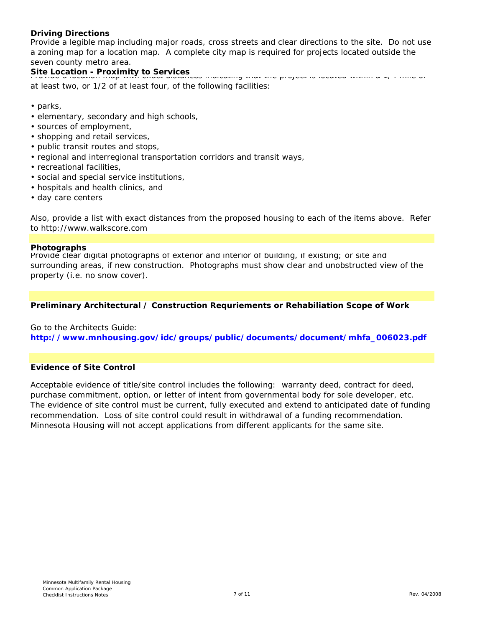## <span id="page-6-3"></span>**Driving Directions**

Provide a legible map including major roads, cross streets and clear directions to the site. Do not use a zoning map for a location map. A complete city map is required for projects located outside the seven county metro area.

# <span id="page-6-0"></span>**Site Location - Proximity to Services** Provide a location map with exact distances in the project distances in the pro

at least two, or 1/2 of at least four, of the following facilities:

- parks,
- elementary, secondary and high schools,
- sources of employment,
- shopping and retail services,
- public transit routes and stops,
- regional and interregional transportation corridors and transit ways,
- recreational facilities,
- social and special service institutions,
- hospitals and health clinics, and
- day care centers

Also, provide a list with exact distances from the proposed housing to each of the items above. Refer to http://www.walkscore.com

#### <span id="page-6-1"></span>**Photographs**

Provide clear digital photographs of exterior and interior of building, if existing; or site and surrounding areas, if new construction. Photographs must show clear and unobstructed view of the property (i.e. no snow cover).

## **Preliminary Architectural / Construction Requriements or Rehabiliation Scope of Work**

Go to the Architects Guide: **http://www.mnhousing.gov/idc/groups/public/documents/document/mhfa\_006023.pdf**

## <span id="page-6-2"></span>**Evidence of Site Control**

Acceptable evidence of title/site control includes the following: warranty deed, contract for deed, purchase commitment, option, or letter of intent from governmental body for sole developer, etc. The evidence of site control must be current, fully executed and extend to anticipated date of funding recommendation. Loss of site control could result in withdrawal of a funding recommendation. Minnesota Housing will not accept applications from different applicants for the same site.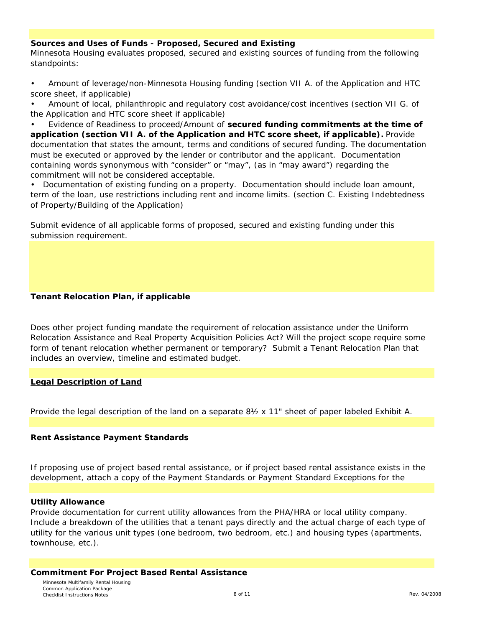## <span id="page-7-0"></span>**Sources and Uses of Funds - Proposed, Secured and Existing**

Minnesota Housing evaluates proposed, secured and existing sources of funding from the following standpoints:

• Amount of leverage/non-Minnesota Housing funding (section VII A. of the Application and HTC score sheet, if applicable)

• Amount of local, philanthropic and regulatory cost avoidance/cost incentives (section VII G. of the Application and HTC score sheet if applicable)

• Evidence of Readiness to proceed/Amount of **secured funding commitments at the time of application (section VII A. of the Application and HTC score sheet, if applicable).** Provide documentation that states the amount, terms and conditions of secured funding. The documentation must be executed or approved by the lender or contributor and the applicant. Documentation containing words synonymous with "consider" or "may", (as in "may award") regarding the commitment will not be considered acceptable.

• Documentation of existing funding on a property. Documentation should include loan amount, term of the loan, use restrictions including rent and income limits. (section C. Existing Indebtedness of Property/Building of the Application)

Submit evidence of all applicable forms of proposed, secured and existing funding under this submission requirement.

## <span id="page-7-1"></span>**Tenant Relocation Plan, if applicable**

Does other project funding mandate the requirement of relocation assistance under the Uniform Relocation Assistance and Real Property Acquisition Policies Act? Will the project scope require some form of tenant relocation whether permanent or temporary? Submit a Tenant Relocation Plan that includes an overview, timeline and estimated budget.

## <span id="page-7-5"></span>**Legal Description of Land**

Provide the legal description of the land on a separate 8½ x 11" sheet of paper labeled Exhibit A.

#### <span id="page-7-4"></span>**Rent Assistance Payment Standards**

If proposing use of project based rental assistance, or if project based rental assistance exists in the development, attach a copy of the Payment Standards or Payment Standard Exceptions for the

#### <span id="page-7-3"></span>**Utility Allowance**

Provide documentation for current utility allowances from the PHA/HRA or local utility company. Include a breakdown of the utilities that a tenant pays directly and the actual charge of each type of utility for the various unit types (one bedroom, two bedroom, etc.) and housing types (apartments, townhouse, etc.).

#### <span id="page-7-2"></span>**Commitment For Project Based Rental Assistance**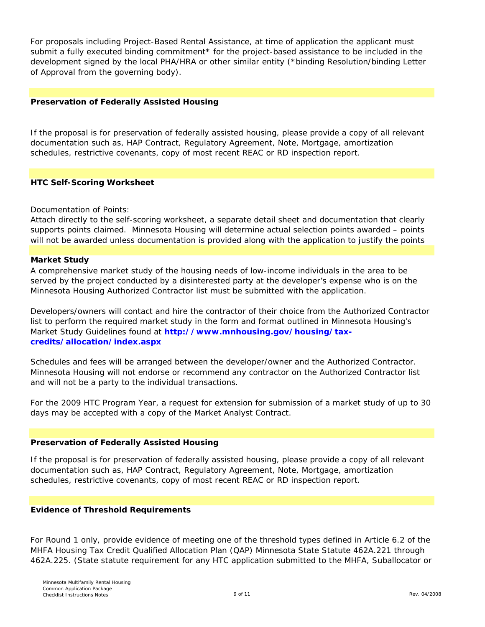For proposals including Project-Based Rental Assistance, at time of application the applicant must submit a fully executed binding commitment\* for the project-based assistance to be included in the development signed by the local PHA/HRA or other similar entity (\*binding Resolution/binding Letter of Approval from the governing body).

## <span id="page-8-2"></span>**Preservation of Federally Assisted Housing**

If the proposal is for preservation of federally assisted housing, please provide a copy of all relevant documentation such as, HAP Contract, Regulatory Agreement, Note, Mortgage, amortization schedules, restrictive covenants, copy of most recent REAC or RD inspection report.

## **HTC Self-Scoring Worksheet**

## Documentation of Points:

Attach directly to the self-scoring worksheet, a separate detail sheet and documentation that clearly supports points claimed. Minnesota Housing will determine actual selection points awarded – points will not be awarded unless documentation is provided along with the application to justify the points

## <span id="page-8-1"></span>**Market Study**

A comprehensive market study of the housing needs of low-income individuals in the area to be served by the project conducted by a disinterested party at the developer's expense who is on the Minnesota Housing Authorized Contractor list must be submitted with the application.

Developers/owners will contact and hire the contractor of their choice from the Authorized Contractor list to perform the required market study in the form and format outlined in Minnesota Housing's Market Study Guidelines found at **http://www.mnhousing.gov/housing/taxcredits/allocation/index.aspx**

Schedules and fees will be arranged between the developer/owner and the Authorized Contractor. Minnesota Housing will not endorse or recommend any contractor on the Authorized Contractor list and will not be a party to the individual transactions.

For the 2009 HTC Program Year, a request for extension for submission of a market study of up to 30 days may be accepted with a copy of the Market Analyst Contract.

#### **Preservation of Federally Assisted Housing**

If the proposal is for preservation of federally assisted housing, please provide a copy of all relevant documentation such as, HAP Contract, Regulatory Agreement, Note, Mortgage, amortization schedules, restrictive covenants, copy of most recent REAC or RD inspection report.

#### <span id="page-8-0"></span>**Evidence of Threshold Requirements**

For Round 1 only, provide evidence of meeting one of the threshold types defined in Article 6.2 of the MHFA Housing Tax Credit Qualified Allocation Plan (QAP) Minnesota State Statute 462A.221 through 462A.225. (State statute requirement for any HTC application submitted to the MHFA, Suballocator or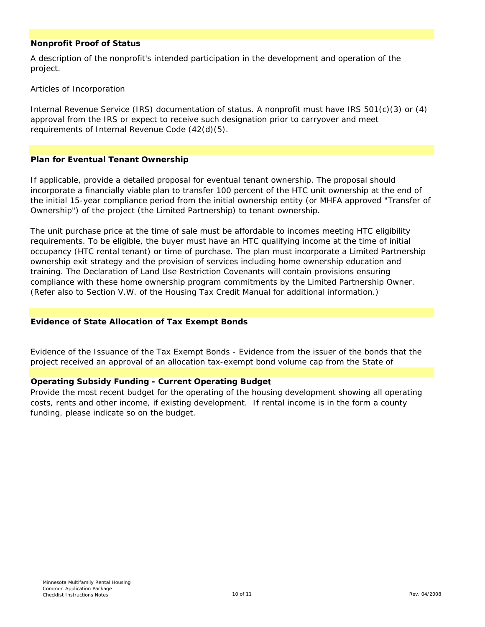## <span id="page-9-2"></span>**Nonprofit Proof of Status**

A description of the nonprofit's intended participation in the development and operation of the project.

Articles of Incorporation

Internal Revenue Service (IRS) documentation of status. A nonprofit must have IRS 501(c)(3) or (4) approval from the IRS or expect to receive such designation prior to carryover and meet requirements of Internal Revenue Code (42(d)(5).

## <span id="page-9-1"></span>**Plan for Eventual Tenant Ownership**

If applicable, provide a detailed proposal for eventual tenant ownership. The proposal should incorporate a financially viable plan to transfer 100 percent of the HTC unit ownership at the end of the initial 15-year compliance period from the initial ownership entity (or MHFA approved "Transfer of Ownership") of the project (the Limited Partnership) to tenant ownership.

The unit purchase price at the time of sale must be affordable to incomes meeting HTC eligibility requirements. To be eligible, the buyer must have an HTC qualifying income at the time of initial occupancy (HTC rental tenant) or time of purchase. The plan must incorporate a Limited Partnership ownership exit strategy and the provision of services including home ownership education and training. The Declaration of Land Use Restriction Covenants will contain provisions ensuring compliance with these home ownership program commitments by the Limited Partnership Owner. (Refer also to Section V.W. of the Housing Tax Credit Manual for additional information.)

#### <span id="page-9-0"></span>**Evidence of State Allocation of Tax Exempt Bonds**

Evidence of the Issuance of the Tax Exempt Bonds - Evidence from the issuer of the bonds that the project received an approval of an allocation tax-exempt bond volume cap from the State of

## <span id="page-9-3"></span>**Operating Subsidy Funding - Current Operating Budget**

Provide the most recent budget for the operating of the housing development showing all operating costs, rents and other income, if existing development. If rental income is in the form a county funding, please indicate so on the budget.